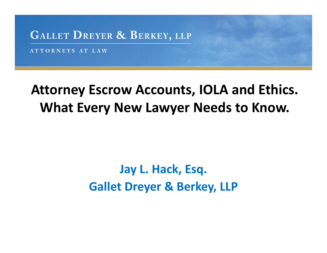

ATTORNEYS AT LAW

### **Attorney Escrow Accounts, IOLA and Ethics. What Every New Lawyer Needs to Know.**

### **Jay L. Hack, Esq. Gallet Dreyer & Berkey, LLP**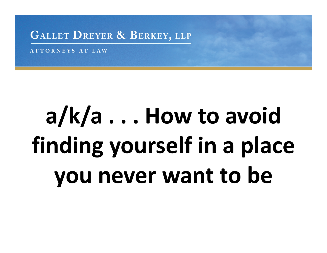ATTORNEYS AT LAW

# **a/k/a . . . How to avoid finding yourself in <sup>a</sup> place you never want to be**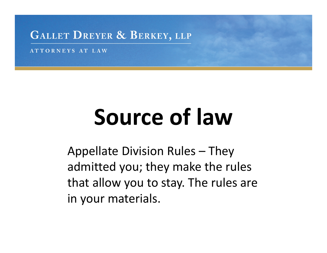ATTORNEYS AT LAW

# **Source of law**

Appellate Division Rules – They admitted you; they make the rules that allow you to stay. The rules are in your materials.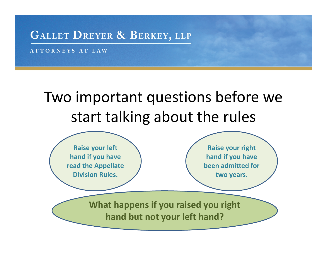ATTORNEYS AT LAW

### Two important questions before we start talking about the rules

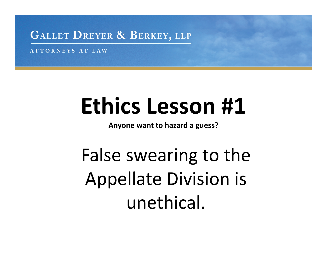ATTORNEYS AT LAW

# **Ethics Lesson #1**

**Anyone want to hazard <sup>a</sup> guess?**

False swearing to the Appellate Division is unethical.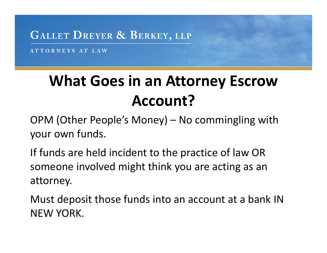ATTORNEYS AT LAW

### **What Goes in an Attorney Escrow Account?**

OPM (Other People's Money) – No commingling with your own funds.

If funds are held incident to the practice of law OR someone involved might think you are acting as an attorney.

Must deposit those funds into an account at <sup>a</sup> bank IN NEW YORK.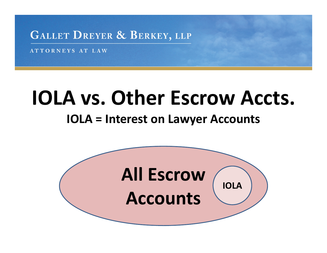ATTORNEYS AT LAW

## **IOLA vs. Other Escrow Accts.**

#### **IOLA <sup>=</sup> Interest on Lawyer Accounts**

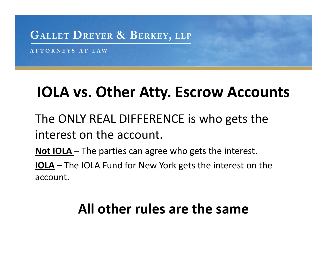ATTORNEYS AT LAW

### **IOLA vs. Other Atty. Escrow Accounts**

The ONLY REAL DIFFERENCE is who gets the interest on the account.

**Not IOLA** – The parties can agree who gets the interest.

**IOLA** – The IOLA Fund for New York gets the interest on the account.

### **All other rules are the same**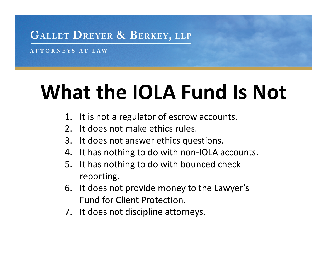ATTORNEYS AT LAW

## **What the IOLA Fund Is Not**

- 1. It is not a regulator of escrow accounts.
- $2<sup>1</sup>$ t does not make ethics rules.
- 3. It does not answer ethics questions.
- 4. It has nothing to do with non‐IOLA accounts.
- $5.$ t has nothing to do with bounced check reporting.
- $6.$ t does not provide money to the Lawyer's Fund for Client Protection.
- 7. It does not discipline attorneys.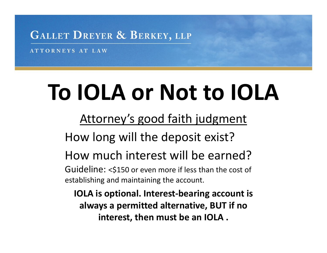ATTORNEYS AT LAW

# **To IOLA or Not to IOLA**

Attorney's good faith judgment

How long will the deposit exist?

How much interest will be earned?

Guideline: <\$150 or even more if less than the cost of establishing and maintaining the account.

**IOLA is optional. Interest‐bearing account is always <sup>a</sup> permitted alternative, BUT if no interest, then must be an IOLA .**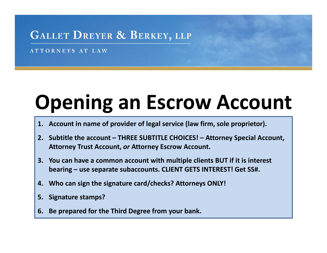ATTORNEYS AT LAW

## **Opening an Escrow Account**

- **1. Account in name of provider of legal service (law firm, sole proprietor).**
- **2. Subtitle the account – THREE SUBTITLE CHOICES! – Attorney Special Account, Attorney Trust Account,** *or* **Attorney Escrow Account.**
- **3. You can have <sup>a</sup> common account with multiple clients BUT if it is interest bearing – use separate subaccounts. CLIENT GETS INTEREST! Get SS#.**
- **4. Who can sign the signature card/checks? Attorneys ONLY!**
- **5. Signature stamps?**
- **6. Be prepared for the Third Degree from your bank.**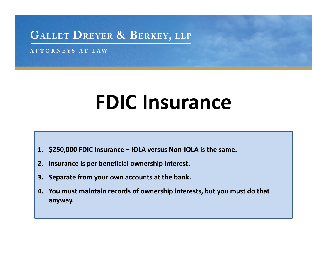ATTORNEYS AT LAW

## **FDIC Insurance**

- **1. \$250,000 FDIC insurance – IOLA versus Non‐IOLA is the same.**
- **2. Insurance is per beneficial ownership interest.**
- **3. Separate from your own accounts at the bank.**
- **4. You must maintain records of ownership interests, but you must do that anyway.**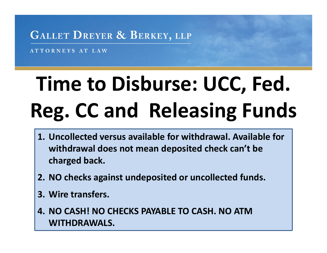ATTORNEYS AT LAW

# **Time to Disburse: UCC, Fed. Reg. CC and Releasing Funds**

- **1. Uncollected versus available for withdrawal. Available for withdrawal does not mean deposited check can't be charged back.**
- **2. NO checks against undeposited or uncollected funds.**
- **3. Wire transfers.**
- **4. NO CASH! NO CHECKS PAYABLE TO CASH. NO ATM WITHDRAWALS.**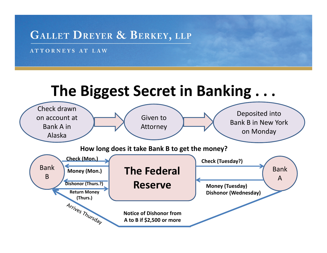ATTORNEYS AT LAW

### **The Biggest Secret in Banking . . .**

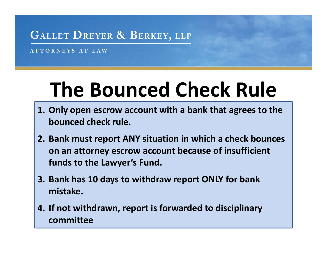ATTORNEYS AT LAW

## **The Bounced Check Rule**

- **1. Only open escrow account with <sup>a</sup> bank that agrees to the bounced check rule.**
- **2. Bank must report ANY situation in which <sup>a</sup> check bounces on an attorney escrow account because of insufficient funds to the Lawyer's Fund.**
- **3. Bank has 10 days to withdraw report ONLY for bank mistake.**
- **4. If not withdrawn, report is forwarded to disciplinary committee**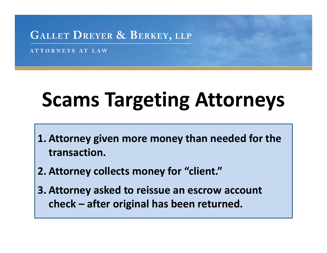ATTORNEYS AT LAW

## **Scams Targeting Attorneys**

- **1. Attorney given more money than needed for the transaction.**
- **2. Attorney collects money for "client."**
- **3. Attorney asked to reissue an escrow account check – after original has been returned.**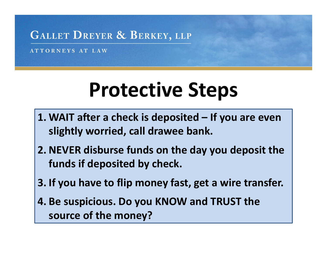ATTORNEYS AT LAW

### **Protective Steps**

- **1. WAIT after <sup>a</sup> check is deposited – If you are even slightly worried, call drawee bank.**
- **2. NEVER disburse funds on the day you deposit the funds if deposited by check.**
- **3. If you have to flip money fast, get <sup>a</sup> wire transfer.**
- **4. Be suspicious. Do you KNOW and TRUST the source of the money?**